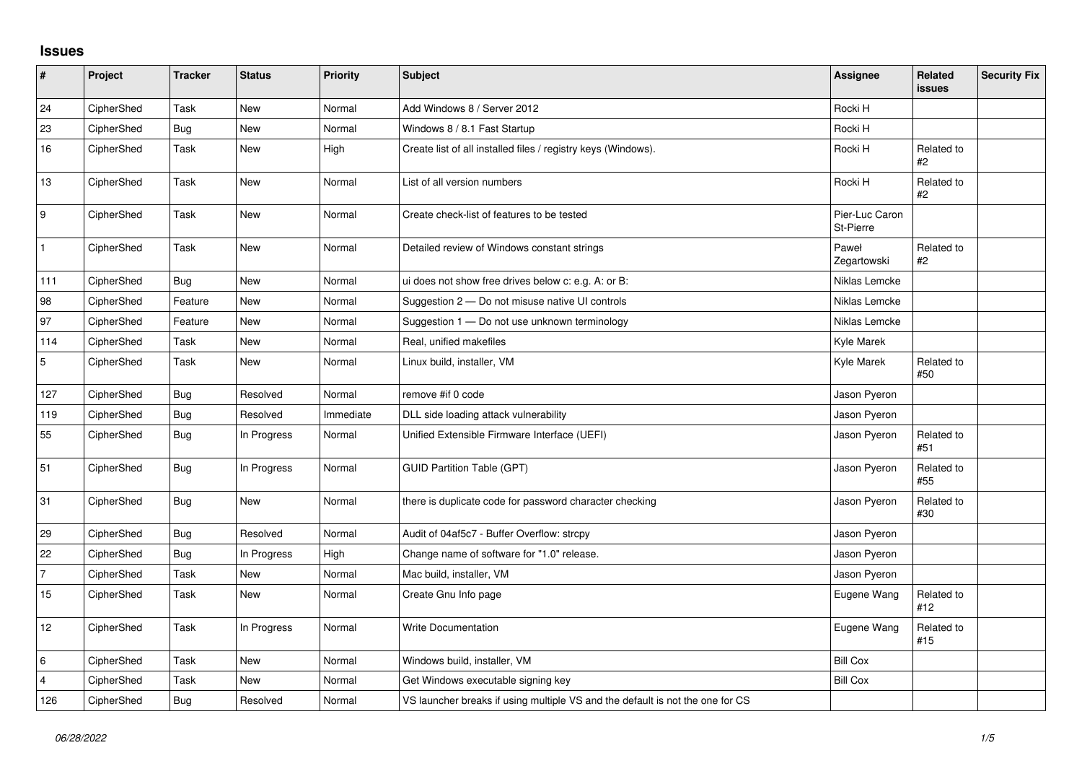## **Issues**

| $\sharp$         | Project    | <b>Tracker</b> | <b>Status</b> | <b>Priority</b> | Subject                                                                       | <b>Assignee</b>             | <b>Related</b><br>issues | <b>Security Fix</b> |
|------------------|------------|----------------|---------------|-----------------|-------------------------------------------------------------------------------|-----------------------------|--------------------------|---------------------|
| 24               | CipherShed | Task           | <b>New</b>    | Normal          | Add Windows 8 / Server 2012                                                   | Rocki H                     |                          |                     |
| 23               | CipherShed | <b>Bug</b>     | New           | Normal          | Windows 8 / 8.1 Fast Startup                                                  | Rocki H                     |                          |                     |
| 16               | CipherShed | Task           | <b>New</b>    | High            | Create list of all installed files / registry keys (Windows).                 | Rocki H                     | Related to<br>#2         |                     |
| 13               | CipherShed | Task           | <b>New</b>    | Normal          | List of all version numbers                                                   | Rocki H                     | Related to<br>#2         |                     |
| $\boldsymbol{9}$ | CipherShed | Task           | New           | Normal          | Create check-list of features to be tested                                    | Pier-Luc Caron<br>St-Pierre |                          |                     |
| $\mathbf{1}$     | CipherShed | Task           | New           | Normal          | Detailed review of Windows constant strings                                   | Paweł<br>Zegartowski        | Related to<br>#2         |                     |
| 111              | CipherShed | <b>Bug</b>     | <b>New</b>    | Normal          | ui does not show free drives below c: e.g. A: or B:                           | Niklas Lemcke               |                          |                     |
| 98               | CipherShed | Feature        | <b>New</b>    | Normal          | Suggestion 2 - Do not misuse native UI controls                               | Niklas Lemcke               |                          |                     |
| 97               | CipherShed | Feature        | New           | Normal          | Suggestion 1 - Do not use unknown terminology                                 | Niklas Lemcke               |                          |                     |
| 114              | CipherShed | Task           | <b>New</b>    | Normal          | Real, unified makefiles                                                       | Kyle Marek                  |                          |                     |
| $\sqrt{5}$       | CipherShed | Task           | New           | Normal          | Linux build, installer, VM                                                    | Kyle Marek                  | Related to<br>#50        |                     |
| 127              | CipherShed | <b>Bug</b>     | Resolved      | Normal          | remove #if 0 code                                                             | Jason Pyeron                |                          |                     |
| 119              | CipherShed | <b>Bug</b>     | Resolved      | Immediate       | DLL side loading attack vulnerability                                         | Jason Pyeron                |                          |                     |
| 55               | CipherShed | <b>Bug</b>     | In Progress   | Normal          | Unified Extensible Firmware Interface (UEFI)                                  | Jason Pyeron                | Related to<br>#51        |                     |
| 51               | CipherShed | <b>Bug</b>     | In Progress   | Normal          | <b>GUID Partition Table (GPT)</b>                                             | Jason Pyeron                | Related to<br>#55        |                     |
| 31               | CipherShed | <b>Bug</b>     | <b>New</b>    | Normal          | there is duplicate code for password character checking                       | Jason Pyeron                | Related to<br>#30        |                     |
| 29               | CipherShed | <b>Bug</b>     | Resolved      | Normal          | Audit of 04af5c7 - Buffer Overflow: strcpy                                    | Jason Pyeron                |                          |                     |
| 22               | CipherShed | <b>Bug</b>     | In Progress   | High            | Change name of software for "1.0" release.                                    | Jason Pyeron                |                          |                     |
| $\overline{7}$   | CipherShed | Task           | New           | Normal          | Mac build, installer, VM                                                      | Jason Pyeron                |                          |                     |
| 15               | CipherShed | Task           | <b>New</b>    | Normal          | Create Gnu Info page                                                          | Eugene Wang                 | Related to<br>#12        |                     |
| 12               | CipherShed | Task           | In Progress   | Normal          | <b>Write Documentation</b>                                                    | Eugene Wang                 | Related to<br>#15        |                     |
| $\,6\,$          | CipherShed | Task           | New           | Normal          | Windows build, installer, VM                                                  | <b>Bill Cox</b>             |                          |                     |
| 4                | CipherShed | Task           | <b>New</b>    | Normal          | Get Windows executable signing key                                            | <b>Bill Cox</b>             |                          |                     |
| 126              | CipherShed | <b>Bug</b>     | Resolved      | Normal          | VS launcher breaks if using multiple VS and the default is not the one for CS |                             |                          |                     |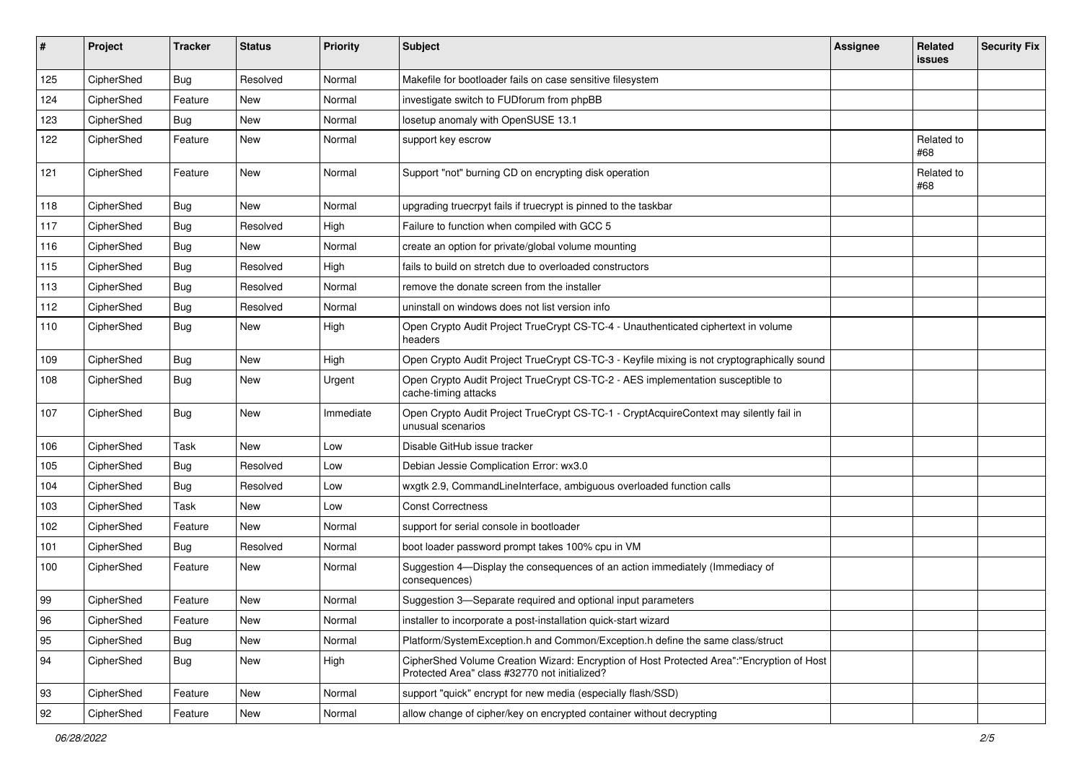| #   | Project    | <b>Tracker</b> | <b>Status</b> | <b>Priority</b> | <b>Subject</b>                                                                                                                             | <b>Assignee</b> | Related<br>issues | <b>Security Fix</b> |
|-----|------------|----------------|---------------|-----------------|--------------------------------------------------------------------------------------------------------------------------------------------|-----------------|-------------------|---------------------|
| 125 | CipherShed | <b>Bug</b>     | Resolved      | Normal          | Makefile for bootloader fails on case sensitive filesystem                                                                                 |                 |                   |                     |
| 124 | CipherShed | Feature        | New           | Normal          | investigate switch to FUDforum from phpBB                                                                                                  |                 |                   |                     |
| 123 | CipherShed | Bug            | New           | Normal          | losetup anomaly with OpenSUSE 13.1                                                                                                         |                 |                   |                     |
| 122 | CipherShed | Feature        | New           | Normal          | support key escrow                                                                                                                         |                 | Related to<br>#68 |                     |
| 121 | CipherShed | Feature        | New           | Normal          | Support "not" burning CD on encrypting disk operation                                                                                      |                 | Related to<br>#68 |                     |
| 118 | CipherShed | <b>Bug</b>     | New           | Normal          | upgrading truecrpyt fails if truecrypt is pinned to the taskbar                                                                            |                 |                   |                     |
| 117 | CipherShed | Bug            | Resolved      | High            | Failure to function when compiled with GCC 5                                                                                               |                 |                   |                     |
| 116 | CipherShed | <b>Bug</b>     | New           | Normal          | create an option for private/global volume mounting                                                                                        |                 |                   |                     |
| 115 | CipherShed | Bug            | Resolved      | High            | fails to build on stretch due to overloaded constructors                                                                                   |                 |                   |                     |
| 113 | CipherShed | Bug            | Resolved      | Normal          | remove the donate screen from the installer                                                                                                |                 |                   |                     |
| 112 | CipherShed | <b>Bug</b>     | Resolved      | Normal          | uninstall on windows does not list version info                                                                                            |                 |                   |                     |
| 110 | CipherShed | Bug            | New           | High            | Open Crypto Audit Project TrueCrypt CS-TC-4 - Unauthenticated ciphertext in volume<br>headers                                              |                 |                   |                     |
| 109 | CipherShed | <b>Bug</b>     | <b>New</b>    | High            | Open Crypto Audit Project TrueCrypt CS-TC-3 - Keyfile mixing is not cryptographically sound                                                |                 |                   |                     |
| 108 | CipherShed | <b>Bug</b>     | New           | Urgent          | Open Crypto Audit Project TrueCrypt CS-TC-2 - AES implementation susceptible to<br>cache-timing attacks                                    |                 |                   |                     |
| 107 | CipherShed | <b>Bug</b>     | New           | Immediate       | Open Crypto Audit Project TrueCrypt CS-TC-1 - CryptAcquireContext may silently fail in<br>unusual scenarios                                |                 |                   |                     |
| 106 | CipherShed | Task           | New           | Low             | Disable GitHub issue tracker                                                                                                               |                 |                   |                     |
| 105 | CipherShed | <b>Bug</b>     | Resolved      | Low             | Debian Jessie Complication Error: wx3.0                                                                                                    |                 |                   |                     |
| 104 | CipherShed | <b>Bug</b>     | Resolved      | Low             | wxgtk 2.9, CommandLineInterface, ambiguous overloaded function calls                                                                       |                 |                   |                     |
| 103 | CipherShed | Task           | <b>New</b>    | Low             | <b>Const Correctness</b>                                                                                                                   |                 |                   |                     |
| 102 | CipherShed | Feature        | New           | Normal          | support for serial console in bootloader                                                                                                   |                 |                   |                     |
| 101 | CipherShed | <b>Bug</b>     | Resolved      | Normal          | boot loader password prompt takes 100% cpu in VM                                                                                           |                 |                   |                     |
| 100 | CipherShed | Feature        | New           | Normal          | Suggestion 4-Display the consequences of an action immediately (Immediacy of<br>consequences)                                              |                 |                   |                     |
| 99  | CipherShed | Feature        | New           | Normal          | Suggestion 3-Separate required and optional input parameters                                                                               |                 |                   |                     |
| 96  | CipherShed | Feature        | New           | Normal          | installer to incorporate a post-installation quick-start wizard                                                                            |                 |                   |                     |
| 95  | CipherShed | Bug            | New           | Normal          | Platform/SystemException.h and Common/Exception.h define the same class/struct                                                             |                 |                   |                     |
| 94  | CipherShed | <b>Bug</b>     | New           | High            | CipherShed Volume Creation Wizard: Encryption of Host Protected Area":"Encryption of Host<br>Protected Area" class #32770 not initialized? |                 |                   |                     |
| 93  | CipherShed | Feature        | New           | Normal          | support "quick" encrypt for new media (especially flash/SSD)                                                                               |                 |                   |                     |
| 92  | CipherShed | Feature        | New           | Normal          | allow change of cipher/key on encrypted container without decrypting                                                                       |                 |                   |                     |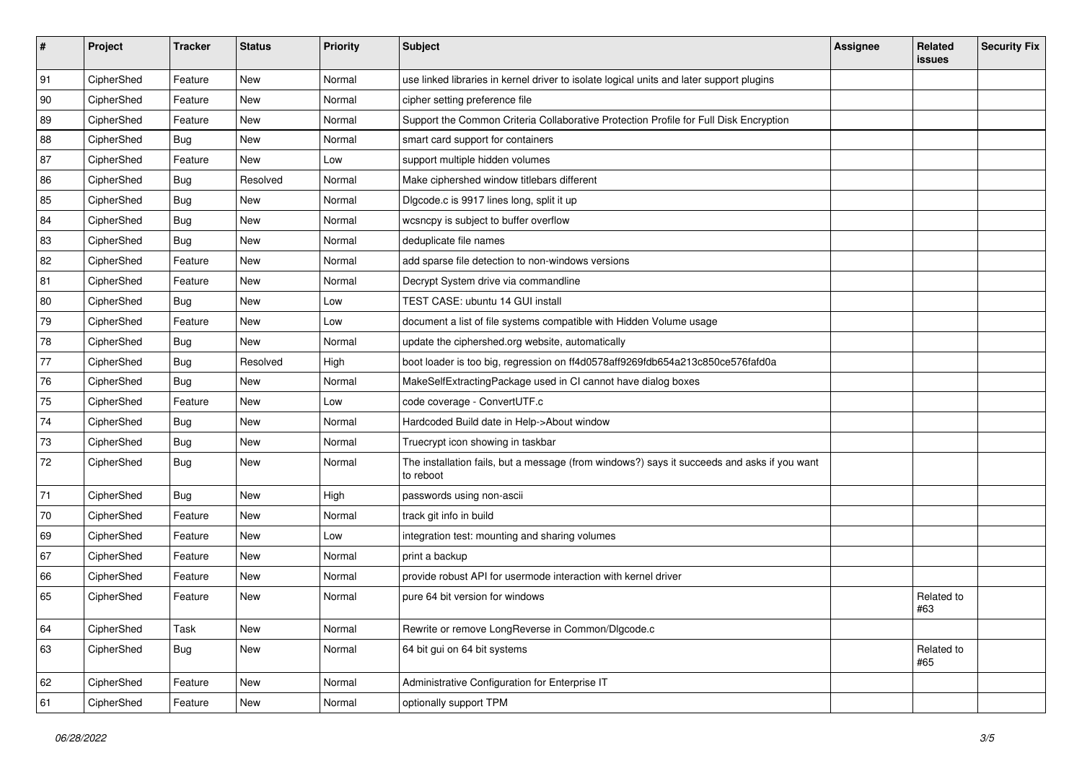| $\sharp$ | Project    | <b>Tracker</b> | <b>Status</b> | <b>Priority</b> | Subject                                                                                                  | <b>Assignee</b> | Related<br><b>issues</b> | <b>Security Fix</b> |
|----------|------------|----------------|---------------|-----------------|----------------------------------------------------------------------------------------------------------|-----------------|--------------------------|---------------------|
| 91       | CipherShed | Feature        | New           | Normal          | use linked libraries in kernel driver to isolate logical units and later support plugins                 |                 |                          |                     |
| 90       | CipherShed | Feature        | New           | Normal          | cipher setting preference file                                                                           |                 |                          |                     |
| 89       | CipherShed | Feature        | New           | Normal          | Support the Common Criteria Collaborative Protection Profile for Full Disk Encryption                    |                 |                          |                     |
| 88       | CipherShed | <b>Bug</b>     | New           | Normal          | smart card support for containers                                                                        |                 |                          |                     |
| 87       | CipherShed | Feature        | New           | Low             | support multiple hidden volumes                                                                          |                 |                          |                     |
| 86       | CipherShed | <b>Bug</b>     | Resolved      | Normal          | Make ciphershed window titlebars different                                                               |                 |                          |                     |
| 85       | CipherShed | <b>Bug</b>     | New           | Normal          | Digcode.c is 9917 lines long, split it up                                                                |                 |                          |                     |
| 84       | CipherShed | Bug            | <b>New</b>    | Normal          | wcsncpy is subject to buffer overflow                                                                    |                 |                          |                     |
| 83       | CipherShed | <b>Bug</b>     | <b>New</b>    | Normal          | deduplicate file names                                                                                   |                 |                          |                     |
| 82       | CipherShed | Feature        | New           | Normal          | add sparse file detection to non-windows versions                                                        |                 |                          |                     |
| 81       | CipherShed | Feature        | New           | Normal          | Decrypt System drive via commandline                                                                     |                 |                          |                     |
| 80       | CipherShed | <b>Bug</b>     | New           | Low             | TEST CASE: ubuntu 14 GUI install                                                                         |                 |                          |                     |
| 79       | CipherShed | Feature        | <b>New</b>    | Low             | document a list of file systems compatible with Hidden Volume usage                                      |                 |                          |                     |
| 78       | CipherShed | Bug            | <b>New</b>    | Normal          | update the ciphershed.org website, automatically                                                         |                 |                          |                     |
| 77       | CipherShed | <b>Bug</b>     | Resolved      | High            | boot loader is too big, regression on ff4d0578aff9269fdb654a213c850ce576fafd0a                           |                 |                          |                     |
| 76       | CipherShed | Bug            | <b>New</b>    | Normal          | MakeSelfExtractingPackage used in CI cannot have dialog boxes                                            |                 |                          |                     |
| 75       | CipherShed | Feature        | New           | Low             | code coverage - ConvertUTF.c                                                                             |                 |                          |                     |
| 74       | CipherShed | <b>Bug</b>     | New           | Normal          | Hardcoded Build date in Help->About window                                                               |                 |                          |                     |
| 73       | CipherShed | <b>Bug</b>     | <b>New</b>    | Normal          | Truecrypt icon showing in taskbar                                                                        |                 |                          |                     |
| 72       | CipherShed | <b>Bug</b>     | New           | Normal          | The installation fails, but a message (from windows?) says it succeeds and asks if you want<br>to reboot |                 |                          |                     |
| 71       | CipherShed | Bug            | <b>New</b>    | High            | passwords using non-ascii                                                                                |                 |                          |                     |
| 70       | CipherShed | Feature        | New           | Normal          | track git info in build                                                                                  |                 |                          |                     |
| 69       | CipherShed | Feature        | New           | Low             | integration test: mounting and sharing volumes                                                           |                 |                          |                     |
| 67       | CipherShed | Feature        | New           | Normal          | print a backup                                                                                           |                 |                          |                     |
| 66       | CipherShed | Feature        | <b>New</b>    | Normal          | provide robust API for usermode interaction with kernel driver                                           |                 |                          |                     |
| 65       | CipherShed | Feature        | New           | Normal          | pure 64 bit version for windows                                                                          |                 | Related to<br>#63        |                     |
| 64       | CipherShed | Task           | New           | Normal          | Rewrite or remove LongReverse in Common/Dlgcode.c                                                        |                 |                          |                     |
| 63       | CipherShed | <b>Bug</b>     | New           | Normal          | 64 bit gui on 64 bit systems                                                                             |                 | Related to<br>#65        |                     |
| 62       | CipherShed | Feature        | New           | Normal          | Administrative Configuration for Enterprise IT                                                           |                 |                          |                     |
| 61       | CipherShed | Feature        | New           | Normal          | optionally support TPM                                                                                   |                 |                          |                     |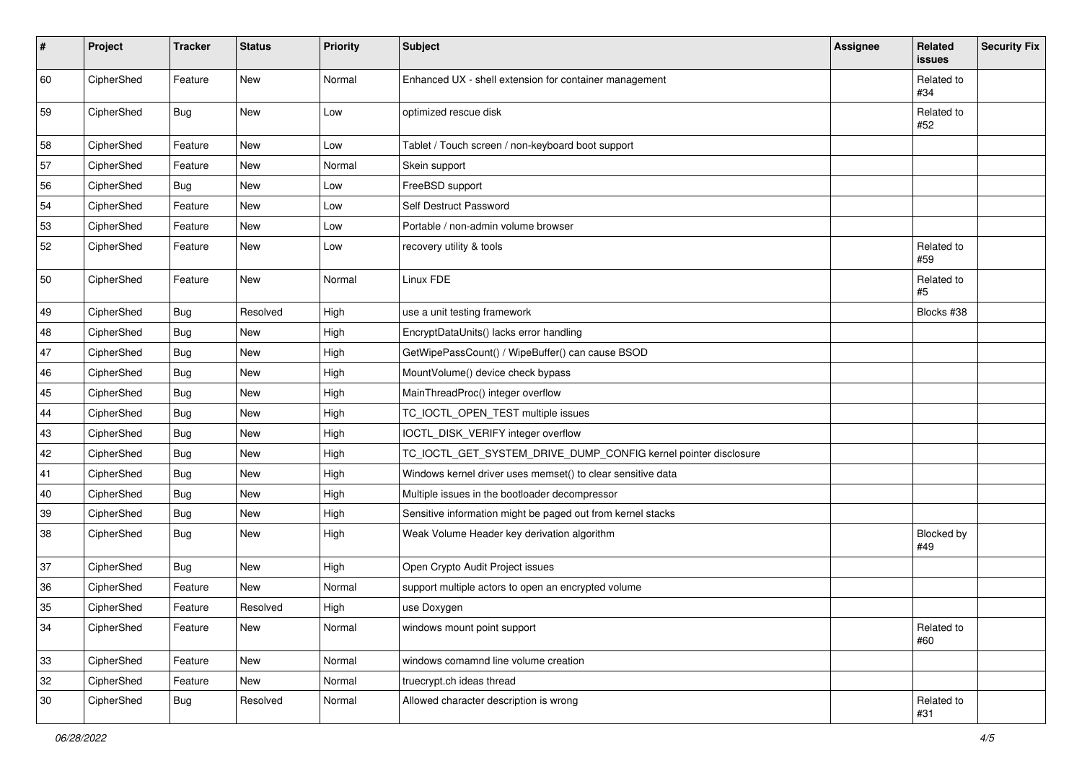| #  | Project    | <b>Tracker</b> | <b>Status</b> | Priority | <b>Subject</b>                                                  | Assignee | Related<br>issues | <b>Security Fix</b> |
|----|------------|----------------|---------------|----------|-----------------------------------------------------------------|----------|-------------------|---------------------|
| 60 | CipherShed | Feature        | New           | Normal   | Enhanced UX - shell extension for container management          |          | Related to<br>#34 |                     |
| 59 | CipherShed | Bug            | New           | Low      | optimized rescue disk                                           |          | Related to<br>#52 |                     |
| 58 | CipherShed | Feature        | New           | Low      | Tablet / Touch screen / non-keyboard boot support               |          |                   |                     |
| 57 | CipherShed | Feature        | <b>New</b>    | Normal   | Skein support                                                   |          |                   |                     |
| 56 | CipherShed | <b>Bug</b>     | New           | Low      | FreeBSD support                                                 |          |                   |                     |
| 54 | CipherShed | Feature        | New           | Low      | Self Destruct Password                                          |          |                   |                     |
| 53 | CipherShed | Feature        | New           | Low      | Portable / non-admin volume browser                             |          |                   |                     |
| 52 | CipherShed | Feature        | New           | Low      | recovery utility & tools                                        |          | Related to<br>#59 |                     |
| 50 | CipherShed | Feature        | New           | Normal   | Linux FDE                                                       |          | Related to<br>#5  |                     |
| 49 | CipherShed | <b>Bug</b>     | Resolved      | High     | use a unit testing framework                                    |          | Blocks #38        |                     |
| 48 | CipherShed | Bug            | New           | High     | EncryptDataUnits() lacks error handling                         |          |                   |                     |
| 47 | CipherShed | <b>Bug</b>     | <b>New</b>    | High     | GetWipePassCount() / WipeBuffer() can cause BSOD                |          |                   |                     |
| 46 | CipherShed | <b>Bug</b>     | New           | High     | MountVolume() device check bypass                               |          |                   |                     |
| 45 | CipherShed | <b>Bug</b>     | New           | High     | MainThreadProc() integer overflow                               |          |                   |                     |
| 44 | CipherShed | <b>Bug</b>     | New           | High     | TC_IOCTL_OPEN_TEST multiple issues                              |          |                   |                     |
| 43 | CipherShed | <b>Bug</b>     | New           | High     | IOCTL_DISK_VERIFY integer overflow                              |          |                   |                     |
| 42 | CipherShed | <b>Bug</b>     | New           | High     | TC_IOCTL_GET_SYSTEM_DRIVE_DUMP_CONFIG kernel pointer disclosure |          |                   |                     |
| 41 | CipherShed | <b>Bug</b>     | <b>New</b>    | High     | Windows kernel driver uses memset() to clear sensitive data     |          |                   |                     |
| 40 | CipherShed | <b>Bug</b>     | New           | High     | Multiple issues in the bootloader decompressor                  |          |                   |                     |
| 39 | CipherShed | Bug            | New           | High     | Sensitive information might be paged out from kernel stacks     |          |                   |                     |
| 38 | CipherShed | Bug            | New           | High     | Weak Volume Header key derivation algorithm                     |          | Blocked by<br>#49 |                     |
| 37 | CipherShed | <b>Bug</b>     | New           | High     | Open Crypto Audit Project issues                                |          |                   |                     |
| 36 | CipherShed | Feature        | New           | Normal   | support multiple actors to open an encrypted volume             |          |                   |                     |
| 35 | CipherShed | Feature        | Resolved      | High     | use Doxygen                                                     |          |                   |                     |
| 34 | CipherShed | Feature        | New           | Normal   | windows mount point support                                     |          | Related to<br>#60 |                     |
| 33 | CipherShed | Feature        | New           | Normal   | windows comamnd line volume creation                            |          |                   |                     |
| 32 | CipherShed | Feature        | New           | Normal   | truecrypt.ch ideas thread                                       |          |                   |                     |
| 30 | CipherShed | <b>Bug</b>     | Resolved      | Normal   | Allowed character description is wrong                          |          | Related to<br>#31 |                     |